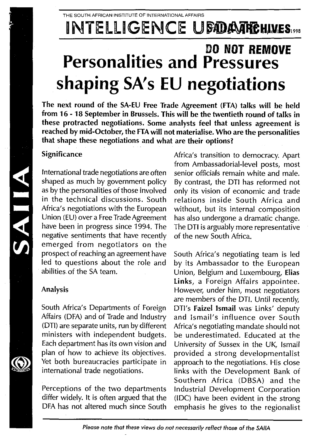# INTELLIGENCE UBDATHEHIMES

## **DO NOT REMOVE Personalities and Pressures shaping SA's EU negotiations**

**The next round of the SA-EU Free Trade Agreement (FTA) talks will be held from 16-1 8 September in Brussels. This will be the twentieth round of talks in these protracted negotiations. Some analysts feel that unless agreement is reached by mid-October, the FTA will not materialise. Who are the personalities that shape these negotiations and what are their options?**

### Significance

International trade negotiations are often shaped as much by government policy as by the personalities of those involved in the technical discussions. South Africa's negotiations with the European Union (EU) over a Free Trade Agreement have been in progress since 1994. The negative sentiments that have recently emerged from negotiators on the prospect of reaching an agreement have led to questions about the role and abilities of the SA team.

## Analysis

*m*

SAIIA

South Africa's Departments of Foreign Affairs (DFA) and of Trade and Industry (DTI) are separate units, run by different ministers with independent budgets. Each department has its own vision and plan of how to achieve its objectives. Yet both bureaucracies participate in international trade negotiations.

Perceptions of the two departments differ widely. It is often argued that the DFA has not altered much since South Africa's transition to democracy. Apart from Ambassadorial-level posts, most senior officials remain white and male. By contrast, the DTI has reformed not only its vision of economic and trade relations inside South Africa and without, but its internal composition has also undergone a dramatic change. The **DTI** is arguably more representative of the new South Africa.

South Africa's negotiating team is led by its Ambassador to the European Union, Belgium and Luxembourg, **Elias Links,** a Foreign Affairs appointee. However, under him, most negotiators are members of the DTI. Until recently, DTI's **Faizel Ismail** was Links' deputy and Ismail's influence over South Africa's negotiating mandate should not be underestimated. Educated at the University of Sussex in the UK, Ismail provided a strong developmentalist approach to the negotiations. His close links with the Development Bank of Southern Africa (DBSA) and the Industrial Development Corporation (IDC) have been evident in the strong emphasis he gives to the regionalist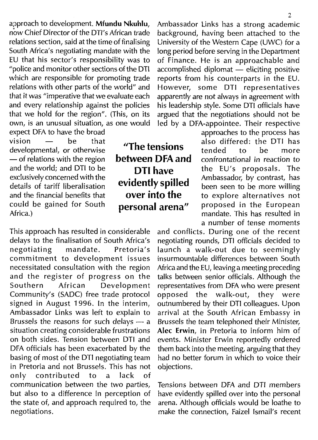expect DFA to have the broad<br>vision  $\frac{1}{2}$  he that vision — be that developmental, or otherwise — of relations with the region and the world; and DTI to be exclusively concerned with the details of tariff liberalisation and the financial benefits that could be gained for South Africa.)

This approach has resulted in considerable and conflicts. During one of the recent delays to the finalisation of South Africa's negotiating rounds, DTI officials decided to Brussels the reasons for such delays — a Brussels the team telephoned their Minister, basing of most of the DTI negotiating team in Pretoria and not Brussels. This has not objections, only contributed to a lack of communication between the two parties, Tensions between DFA and DTI members

"The tensions between DFA and DTI have evidently spilled over into the personal arena"

approach to development. **Mfundu Nkuhlu,** Ambassador Links has a strong academic background, having been attached to the relations section, said at the time of finalising University of the Western Cape (UWC) for a<br>South Africa's negotiating mandate with the long period before serving in the Department South Africa's negotiating mandate with the long period before serving in the Department<br>EU that his sector's responsibility was to of Finance. He is an approachable and of Finance. He is an approachable and "police and monitor other sections of the DTI accomplished diplomat  $\frac{1}{x}$  eliciting positive which are responsible for promoting trade reports from his counterparts in the EU. which are responsible for promoting trade reports from his counterparts in the EU.<br>relations with other parts of the world" and However, some DTI representatives relations with other parts of the world" and However, some DTI representatives<br>that it was "imperative that we evaluate each apparently are not always in agreement with that it was "imperative that we evaluate each apparently are not always in agreement with and every relationship against the policies his leadership style. Some DTI officials have and every relationship against the policies his leadership style. Some DTI officials have that we hold for the region". (This, on its argued that the negotiations should not be argued that the negotiations should not be own, is an unusual situation, as one would led by a DFA-appointee. Their respective

approaches to the process has also differed: the DTI has tended to be more confrontational in *reaction to* the EU's proposals. The Ambassador, by contrast, has been seen to be more willing to explore alternatives not proposed in the European mandate. This has resulted in a number of tense moments

negotiating rounds, DTI officials decided to negotiating mandate. Pretoria's launch a walk-out due to seemingly commitment to development issues insurmountable differences between South necessitated consultation with the region Africa and the EU, leaving a meeting preceding<br>and the register of progress on the talks between senior officials. Although the baress on the talks between senior officials. Although the Development representatives from DFA who were present Southern African Development representatives from DFA who were present Community's (SADC) free trade protocol opposed the walk-out, they were signed in August 1996. In the interim, outnumbered by their DTI colleagues. Upon Ambassador Links was left to explain to arrival at the South African Embassy in situation creating considerable frustrations Alec **Erwin,** in Pretoria to inform him of on both sides. Tension between DTI and events. Minister Erwin reportedly ordered DFA officials has been exacerbated by the them back into the meeting, arguing that they basing of most of the DTI negotiating team had no better forum in which to voice their

but also to a difference in perception of have evidently spilled over into the personal the state of, and approach required to, the arena. Although officials would be loathe to negotiations. make the connection, Faizel Ismail's recent